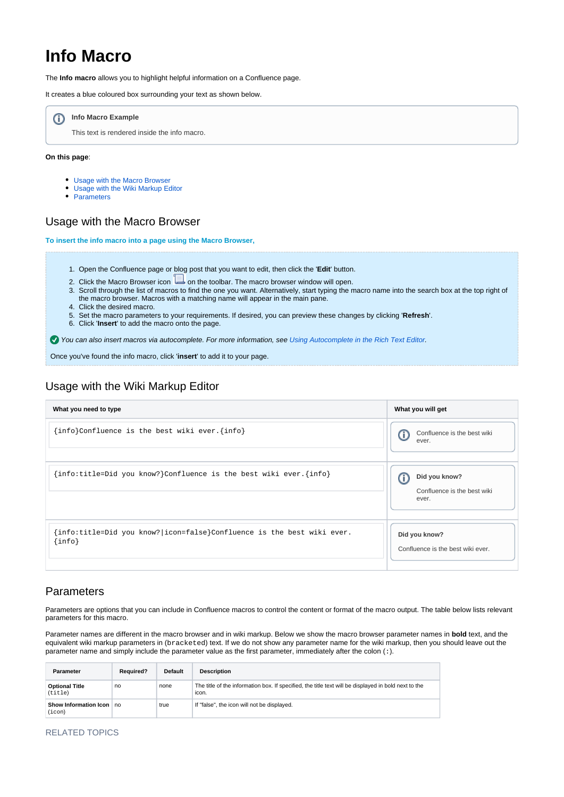# **Info Macro**

The **Info macro** allows you to highlight helpful information on a Confluence page.

It creates a blue coloured box surrounding your text as shown below.



This text is rendered inside the info macro.

#### **On this page**:

- [Usage with the Macro Browser](#page-0-0)
- [Usage with the Wiki Markup Editor](#page-0-1)
- [Parameters](#page-0-2)

#### <span id="page-0-0"></span>Usage with the Macro Browser

**To insert the info macro into a page using the Macro Browser,**

- 1. Open the Confluence page or blog post that you want to edit, then click the '**Edit**' button.
- 2. Click the Macro Browser icon  $\Box$  on the toolbar. The macro browser window will open.
- 3. Scroll through the list of macros to find the one you want. Alternatively, start typing the macro name into the search box at the top right of
- the macro browser. Macros with a matching name will appear in the main pane.
- 4. Click the desired macro.
- 5. Set the macro parameters to your requirements. If desired, you can preview these changes by clicking '**Refresh**'.
- 6. Click '**Insert**' to add the macro onto the page.

You can also insert macros via autocomplete. For more information, see [Using Autocomplete in the Rich Text Editor.](https://wikis.nyu.edu/display/DOC/Using+Autocomplete+in+the+Rich+Text+Editor)

Once you've found the info macro, click '**insert**' to add it to your page.

## <span id="page-0-1"></span>Usage with the Wiki Markup Editor

| What you need to type                                                                     | What you will get                                          |  |
|-------------------------------------------------------------------------------------------|------------------------------------------------------------|--|
| [info]Confluence is the best wiki ever. {info}                                            | Confluence is the best wiki<br>o<br>ever.                  |  |
| $\{\text{info:title=Did you know?}\}$ Confluence is the best wiki ever. $\{\text{info}\}$ | Did you know?<br>Œ<br>Confluence is the best wiki<br>ever. |  |
| {info:title=Did you know? icon=false}Confluence is the best wiki ever.<br>$\{info\}$      | Did you know?<br>Confluence is the best wiki ever.         |  |

## <span id="page-0-2"></span>Parameters

Parameters are options that you can include in Confluence macros to control the content or format of the macro output. The table below lists relevant parameters for this macro.

Parameter names are different in the macro browser and in wiki markup. Below we show the macro browser parameter names in **bold** text, and the equivalent wiki markup parameters in (bracketed) text. If we do not show any parameter name for the wiki markup, then you should leave out the parameter name and simply include the parameter value as the first parameter, immediately after the colon (:).

| Parameter                        | <b>Required?</b> | <b>Default</b> | <b>Description</b>                                                                                            |
|----------------------------------|------------------|----------------|---------------------------------------------------------------------------------------------------------------|
| <b>Optional Title</b><br>(title) | no               | none           | The title of the information box. If specified, the title text will be displayed in bold next to the<br>icon. |
| Show Information Icon<br>(icon)  | no               | true           | If "false", the icon will not be displayed.                                                                   |

#### RELATED TOPICS